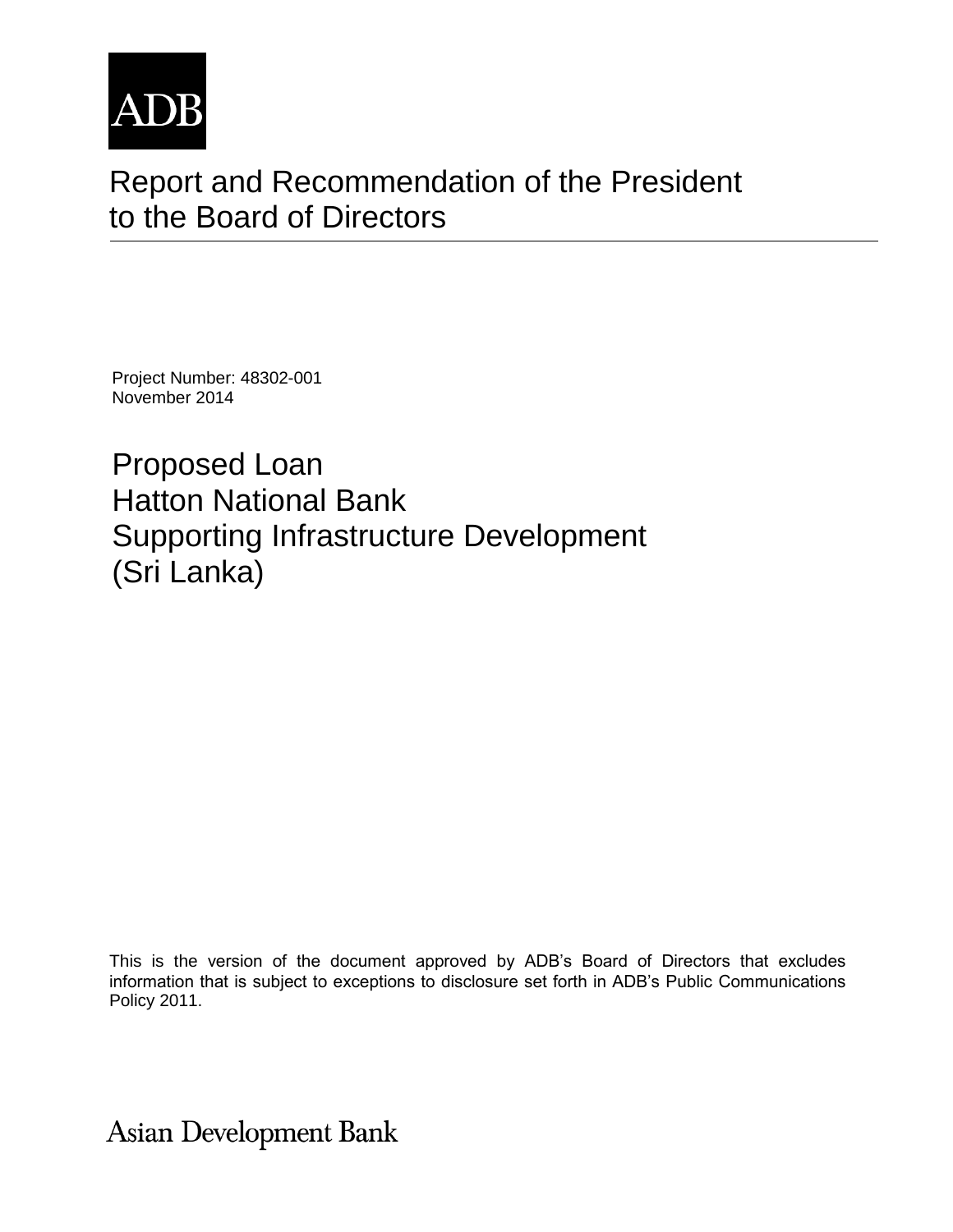

# Report and Recommendation of the President to the Board of Directors

Project Number: 48302-001 November 2014

Proposed Loan Hatton National Bank Supporting Infrastructure Development (Sri Lanka)

This is the version of the document approved by ADB's Board of Directors that excludes information that is subject to exceptions to disclosure set forth in ADB's Public Communications Policy 2011.

**Asian Development Bank**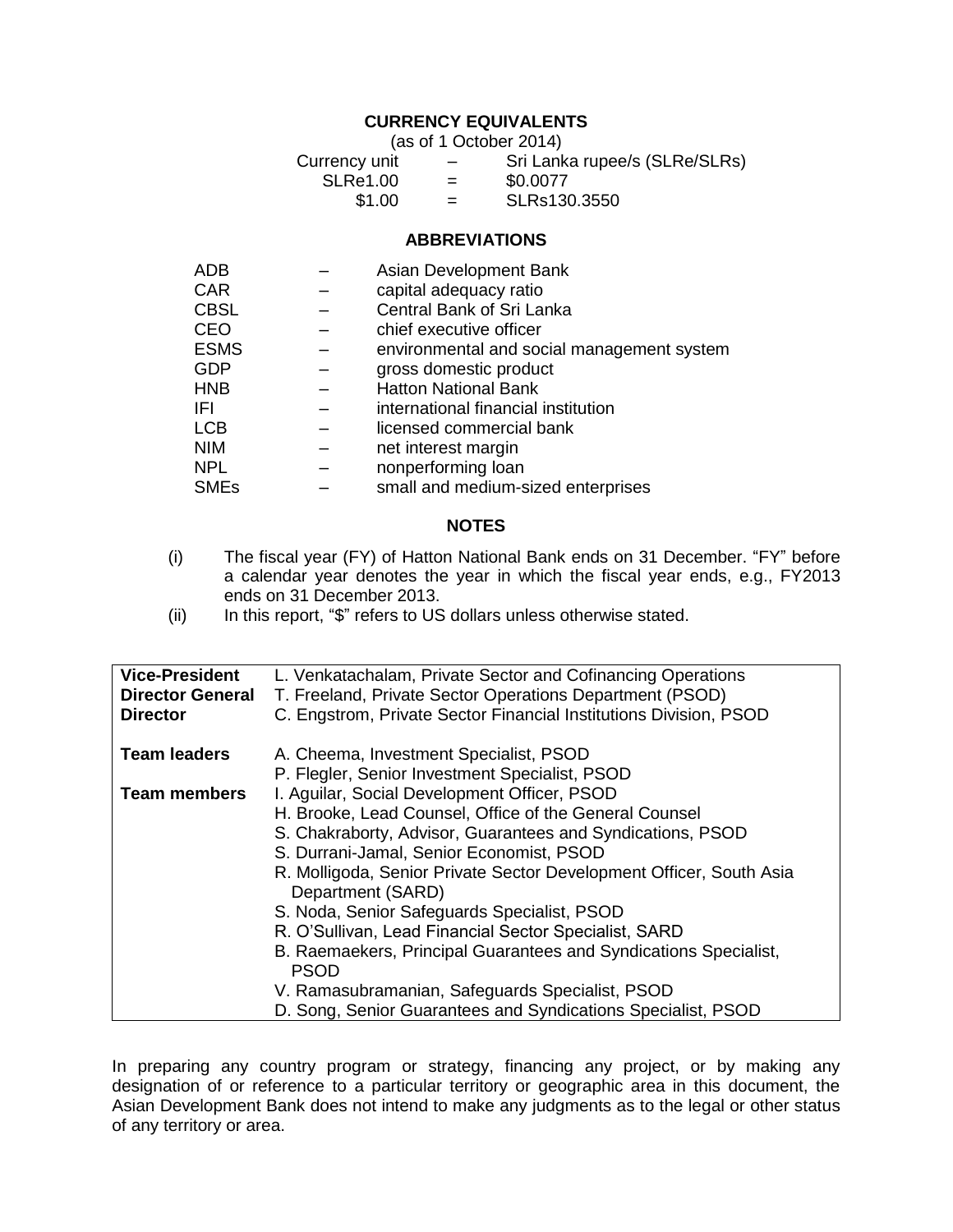# **CURRENCY EQUIVALENTS**

(as of 1 October 2014)

| Currency unit   | -   | Sri Lanka rupee/s (SLRe/SLRs) |
|-----------------|-----|-------------------------------|
| <b>SLRe1.00</b> | $=$ | \$0.0077                      |
| \$1.00          | $=$ | SLRs130.3550                  |

#### **ABBREVIATIONS**

| <b>ADB</b>  | Asian Development Bank                     |
|-------------|--------------------------------------------|
| <b>CAR</b>  | capital adequacy ratio                     |
| <b>CBSL</b> | Central Bank of Sri Lanka                  |
| <b>CEO</b>  | chief executive officer                    |
| <b>ESMS</b> | environmental and social management system |
| <b>GDP</b>  | gross domestic product                     |
| <b>HNB</b>  | <b>Hatton National Bank</b>                |
| -IFL        | international financial institution        |
| <b>LCB</b>  | licensed commercial bank                   |
| <b>NIM</b>  | net interest margin                        |
| <b>NPL</b>  | nonperforming loan                         |
| <b>SMEs</b> | small and medium-sized enterprises         |

#### **NOTES**

- (i) The fiscal year (FY) of Hatton National Bank ends on 31 December. "FY" before a calendar year denotes the year in which the fiscal year ends, e.g., FY2013 ends on 31 December 2013.
- (ii) In this report, "\$" refers to US dollars unless otherwise stated.

| <b>Vice-President</b>   | L. Venkatachalam, Private Sector and Cofinancing Operations                              |
|-------------------------|------------------------------------------------------------------------------------------|
| <b>Director General</b> | T. Freeland, Private Sector Operations Department (PSOD)                                 |
| <b>Director</b>         | C. Engstrom, Private Sector Financial Institutions Division, PSOD                        |
| <b>Team leaders</b>     | A. Cheema, Investment Specialist, PSOD                                                   |
|                         | P. Flegler, Senior Investment Specialist, PSOD                                           |
| <b>Team members</b>     | I. Aguilar, Social Development Officer, PSOD                                             |
|                         | H. Brooke, Lead Counsel, Office of the General Counsel                                   |
|                         | S. Chakraborty, Advisor, Guarantees and Syndications, PSOD                               |
|                         | S. Durrani-Jamal, Senior Economist, PSOD                                                 |
|                         | R. Molligoda, Senior Private Sector Development Officer, South Asia<br>Department (SARD) |
|                         | S. Noda, Senior Safeguards Specialist, PSOD                                              |
|                         | R. O'Sullivan, Lead Financial Sector Specialist, SARD                                    |
|                         | B. Raemaekers, Principal Guarantees and Syndications Specialist,<br><b>PSOD</b>          |
|                         | V. Ramasubramanian, Safeguards Specialist, PSOD                                          |
|                         | D. Song, Senior Guarantees and Syndications Specialist, PSOD                             |

In preparing any country program or strategy, financing any project, or by making any designation of or reference to a particular territory or geographic area in this document, the Asian Development Bank does not intend to make any judgments as to the legal or other status of any territory or area.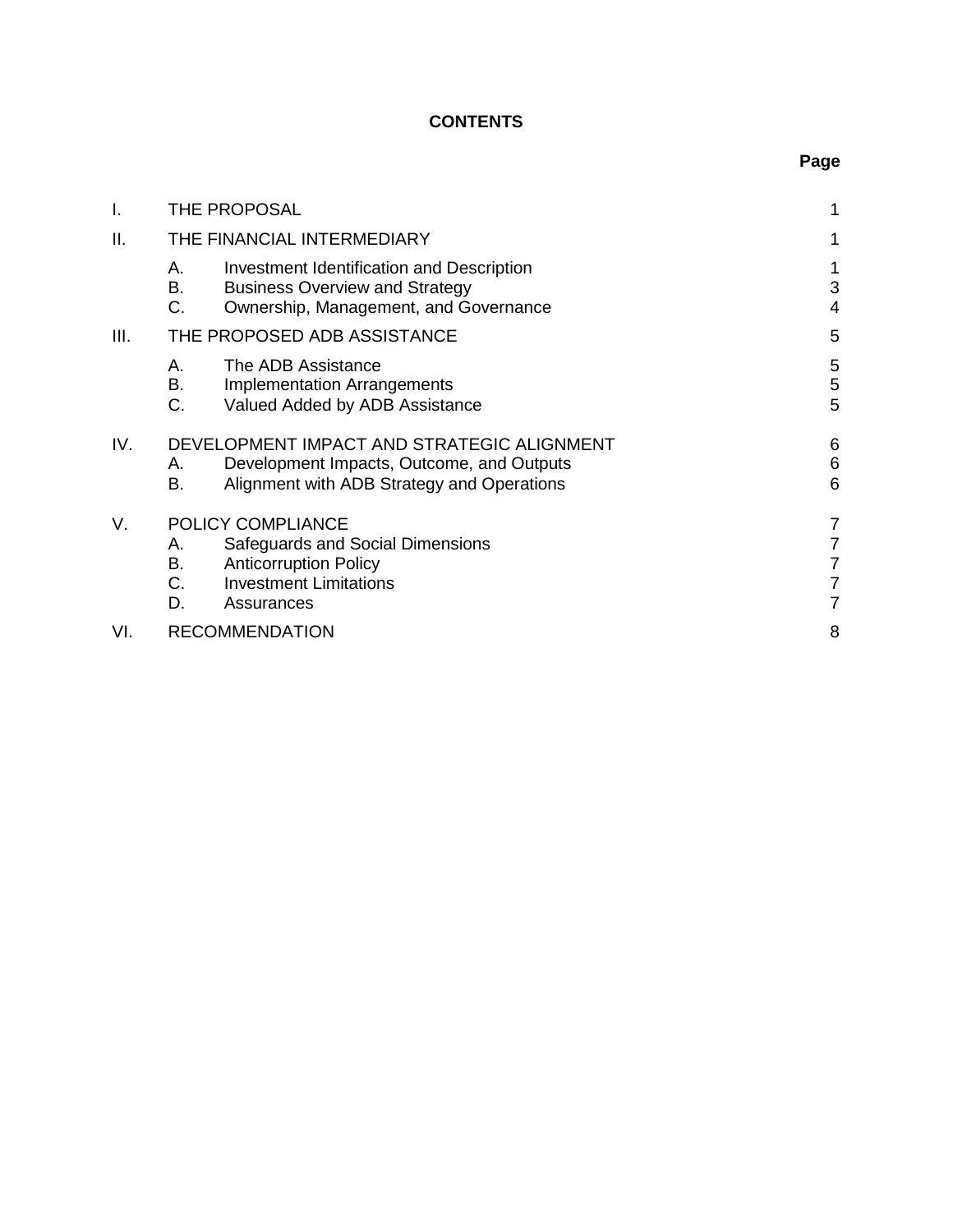# **CONTENTS**

| I.   |                      | THE PROPOSAL                                                                                                                          | 1                                  |
|------|----------------------|---------------------------------------------------------------------------------------------------------------------------------------|------------------------------------|
| ΙΙ.  |                      | THE FINANCIAL INTERMEDIARY                                                                                                            | 1                                  |
|      | А.<br>В.<br>C.       | Investment Identification and Description<br><b>Business Overview and Strategy</b><br>Ownership, Management, and Governance           | 1<br>3<br>4                        |
| III. |                      | THE PROPOSED ADB ASSISTANCE                                                                                                           | 5                                  |
|      | А.<br>В.<br>C.       | The ADB Assistance<br><b>Implementation Arrangements</b><br>Valued Added by ADB Assistance                                            | 5<br>5<br>5                        |
| IV.  | А.<br>В.             | DEVELOPMENT IMPACT AND STRATEGIC ALIGNMENT<br>Development Impacts, Outcome, and Outputs<br>Alignment with ADB Strategy and Operations | 6<br>6<br>6                        |
| V.   | А.<br>В.<br>C.<br>D. | POLICY COMPLIANCE<br>Safeguards and Social Dimensions<br><b>Anticorruption Policy</b><br><b>Investment Limitations</b><br>Assurances  | 7<br>$\overline{7}$<br>7<br>7<br>7 |
| VI.  |                      | <b>RECOMMENDATION</b>                                                                                                                 | 8                                  |

# **Page**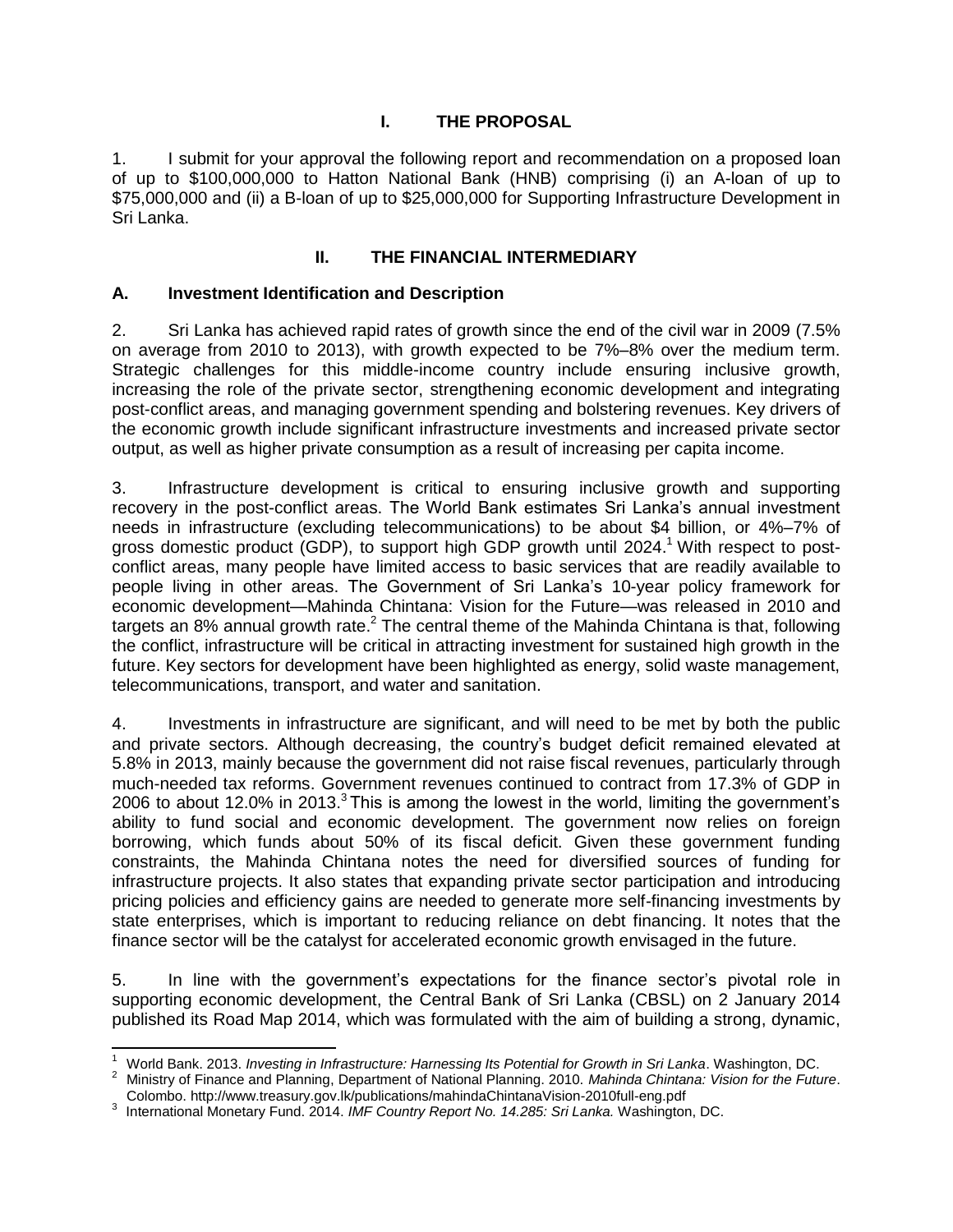## **I. THE PROPOSAL**

<span id="page-4-0"></span>1. I submit for your approval the following report and recommendation on a proposed loan of up to \$100,000,000 to Hatton National Bank (HNB) comprising (i) an A-loan of up to \$75,000,000 and (ii) a B-loan of up to \$25,000,000 for Supporting Infrastructure Development in Sri Lanka.

### **II. THE FINANCIAL INTERMEDIARY**

#### <span id="page-4-2"></span><span id="page-4-1"></span>**A. Investment Identification and Description**

2. Sri Lanka has achieved rapid rates of growth since the end of the civil war in 2009 (7.5% on average from 2010 to 2013), with growth expected to be 7%–8% over the medium term. Strategic challenges for this middle-income country include ensuring inclusive growth, increasing the role of the private sector, strengthening economic development and integrating post-conflict areas, and managing government spending and bolstering revenues. Key drivers of the economic growth include significant infrastructure investments and increased private sector output, as well as higher private consumption as a result of increasing per capita income.

3. Infrastructure development is critical to ensuring inclusive growth and supporting recovery in the post-conflict areas. The World Bank estimates Sri Lanka's annual investment needs in infrastructure (excluding telecommunications) to be about \$4 billion, or 4%–7% of gross domestic product (GDP), to support high GDP growth until 2024.<sup>1</sup> With respect to postconflict areas, many people have limited access to basic services that are readily available to people living in other areas. The Government of Sri Lanka's 10-year policy framework for economic development—Mahinda Chintana: Vision for the Future—was released in 2010 and targets an 8% annual growth rate.<sup>2</sup> The central theme of the Mahinda Chintana is that, following the conflict, infrastructure will be critical in attracting investment for sustained high growth in the future. Key sectors for development have been highlighted as energy, solid waste management, telecommunications, transport, and water and sanitation.

4. Investments in infrastructure are significant, and will need to be met by both the public and private sectors. Although decreasing, the country's budget deficit remained elevated at 5.8% in 2013, mainly because the government did not raise fiscal revenues, particularly through much-needed tax reforms. Government revenues continued to contract from 17.3% of GDP in 2006 to about 12.0% in 2013.<sup>3</sup> This is among the lowest in the world, limiting the government's ability to fund social and economic development. The government now relies on foreign borrowing, which funds about 50% of its fiscal deficit. Given these government funding constraints, the Mahinda Chintana notes the need for diversified sources of funding for infrastructure projects. It also states that expanding private sector participation and introducing pricing policies and efficiency gains are needed to generate more self-financing investments by state enterprises, which is important to reducing reliance on debt financing. It notes that the finance sector will be the catalyst for accelerated economic growth envisaged in the future.

5. In line with the government's expectations for the finance sector's pivotal role in supporting economic development, the Central Bank of Sri Lanka (CBSL) on 2 January 2014 published its Road Map 2014, which was formulated with the aim of building a strong, dynamic,

 $\mathbf{1}$ <sup>1</sup> World Bank. 2013. *Investing in Infrastructure: Harnessing Its Potential for Growth in Sri Lanka*. Washington, DC.

<sup>2</sup> Ministry of Finance and Planning, Department of National Planning. 2010. *Mahinda Chintana: Vision for the Future*. Colombo. http://www.treasury.gov.lk/publications/mahindaChintanaVision-2010full-eng.pdf

<sup>3</sup> International Monetary Fund. 2014. *IMF Country Report No. 14.285: Sri Lanka.* Washington, DC.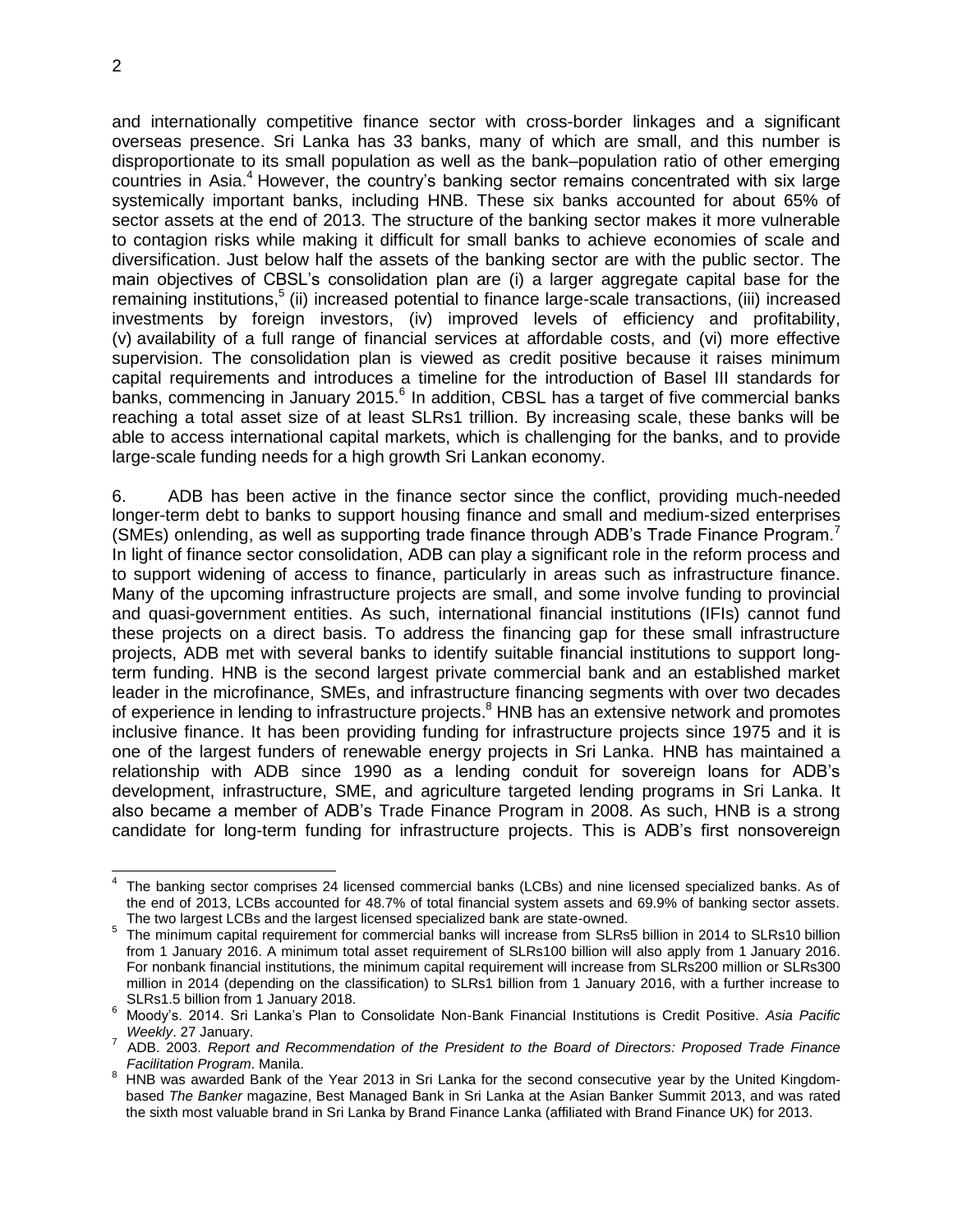and internationally competitive finance sector with cross-border linkages and a significant overseas presence. Sri Lanka has 33 banks, many of which are small, and this number is disproportionate to its small population as well as the bank–population ratio of other emerging countries in Asia.<sup>4</sup> However, the country's banking sector remains concentrated with six large systemically important banks, including HNB. These six banks accounted for about 65% of sector assets at the end of 2013. The structure of the banking sector makes it more vulnerable to contagion risks while making it difficult for small banks to achieve economies of scale and diversification. Just below half the assets of the banking sector are with the public sector. The main objectives of CBSL's consolidation plan are (i) a larger aggregate capital base for the remaining institutions,<sup>5</sup> (ii) increased potential to finance large-scale transactions, (iii) increased investments by foreign investors, (iv) improved levels of efficiency and profitability, (v) availability of a full range of financial services at affordable costs, and (vi) more effective supervision. The consolidation plan is viewed as credit positive because it raises minimum capital requirements and introduces a timeline for the introduction of Basel III standards for banks, commencing in January 2015. $^6$  In addition, CBSL has a target of five commercial banks reaching a total asset size of at least SLRs1 trillion. By increasing scale, these banks will be able to access international capital markets, which is challenging for the banks, and to provide large-scale funding needs for a high growth Sri Lankan economy.

6. ADB has been active in the finance sector since the conflict, providing much-needed longer-term debt to banks to support housing finance and small and medium-sized enterprises (SMEs) onlending, as well as supporting trade finance through ADB's Trade Finance Program.<sup>7</sup> In light of finance sector consolidation, ADB can play a significant role in the reform process and to support widening of access to finance, particularly in areas such as infrastructure finance. Many of the upcoming infrastructure projects are small, and some involve funding to provincial and quasi-government entities. As such, international financial institutions (IFIs) cannot fund these projects on a direct basis. To address the financing gap for these small infrastructure projects, ADB met with several banks to identify suitable financial institutions to support longterm funding. HNB is the second largest private commercial bank and an established market leader in the microfinance, SMEs, and infrastructure financing segments with over two decades of experience in lending to infrastructure projects.<sup>8</sup> HNB has an extensive network and promotes inclusive finance. It has been providing funding for infrastructure projects since 1975 and it is one of the largest funders of renewable energy projects in Sri Lanka. HNB has maintained a relationship with ADB since 1990 as a lending conduit for sovereign loans for ADB's development, infrastructure, SME, and agriculture targeted lending programs in Sri Lanka. It also became a member of ADB's Trade Finance Program in 2008. As such, HNB is a strong candidate for long-term funding for infrastructure projects. This is ADB's first nonsovereign

 $\overline{\phantom{a}}$ 4 The banking sector comprises 24 licensed commercial banks (LCBs) and nine licensed specialized banks. As of the end of 2013, LCBs accounted for 48.7% of total financial system assets and 69.9% of banking sector assets. The two largest LCBs and the largest licensed specialized bank are state-owned.

<sup>&</sup>lt;sup>5</sup> The minimum capital requirement for commercial banks will increase from SLRs5 billion in 2014 to SLRs10 billion from 1 January 2016. A minimum total asset requirement of SLRs100 billion will also apply from 1 January 2016. For nonbank financial institutions, the minimum capital requirement will increase from SLRs200 million or SLRs300 million in 2014 (depending on the classification) to SLRs1 billion from 1 January 2016, with a further increase to SLRs1.5 billion from 1 January 2018.

<sup>6</sup> Moody's. 2014. Sri Lanka's Plan to Consolidate Non-Bank Financial Institutions is Credit Positive. *Asia Pacific Weekly*. 27 January.

<sup>7</sup> ADB. 2003. *Report and Recommendation of the President to the Board of Directors: Proposed Trade Finance Facilitation Program*. Manila.

<sup>8</sup> HNB was awarded Bank of the Year 2013 in Sri Lanka for the second consecutive year by the United Kingdombased *The Banker* magazine, Best Managed Bank in Sri Lanka at the Asian Banker Summit 2013, and was rated the sixth most valuable brand in Sri Lanka by Brand Finance Lanka (affiliated with Brand Finance UK) for 2013.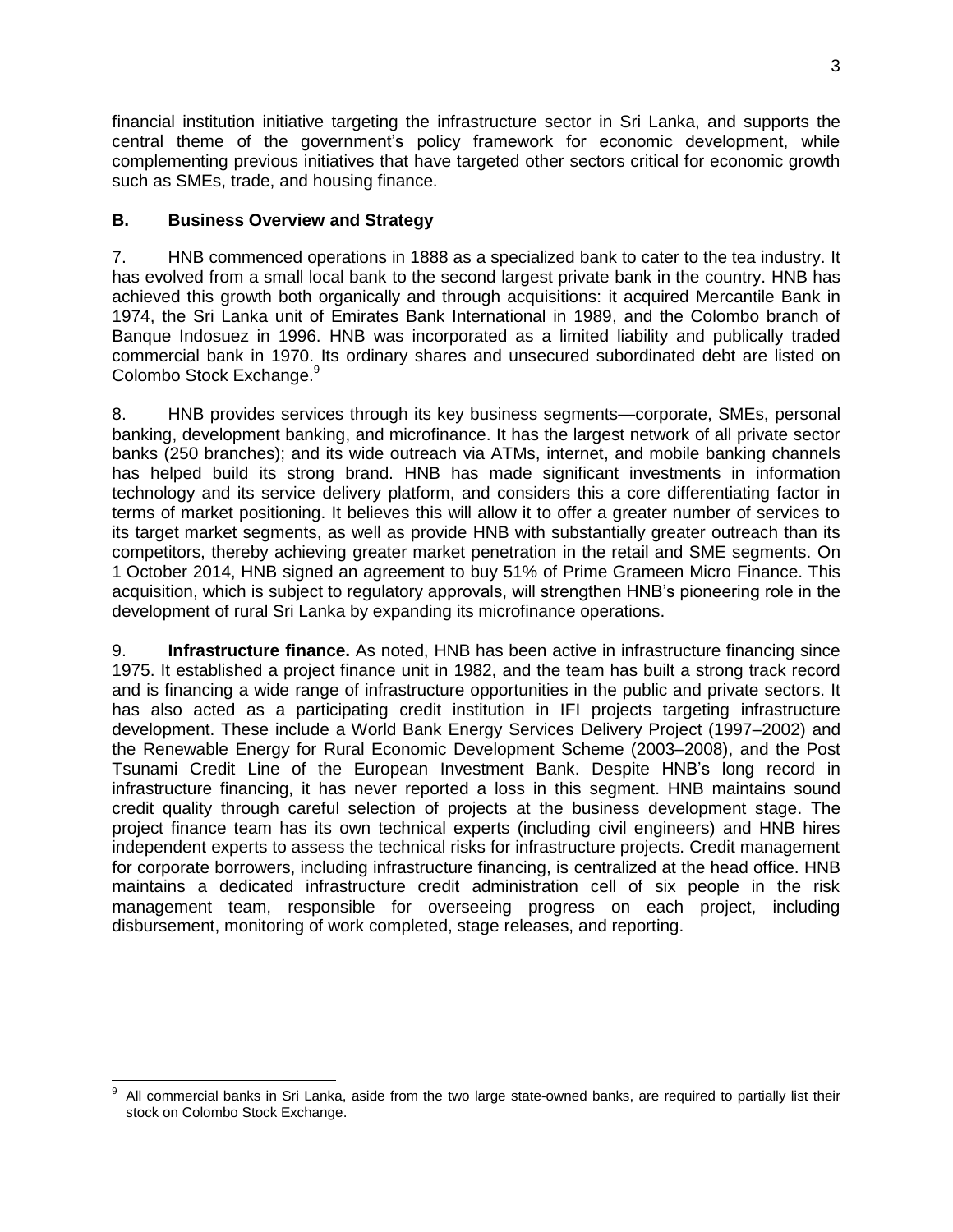financial institution initiative targeting the infrastructure sector in Sri Lanka, and supports the central theme of the government's policy framework for economic development, while complementing previous initiatives that have targeted other sectors critical for economic growth such as SMEs, trade, and housing finance.

### <span id="page-6-0"></span>**B. Business Overview and Strategy**

7. HNB commenced operations in 1888 as a specialized bank to cater to the tea industry. It has evolved from a small local bank to the second largest private bank in the country. HNB has achieved this growth both organically and through acquisitions: it acquired Mercantile Bank in 1974, the Sri Lanka unit of Emirates Bank International in 1989, and the Colombo branch of Banque Indosuez in 1996. HNB was incorporated as a limited liability and publically traded commercial bank in 1970. Its ordinary shares and unsecured subordinated debt are listed on Colombo Stock Exchange.<sup>9</sup>

8. HNB provides services through its key business segments—corporate, SMEs, personal banking, development banking, and microfinance. It has the largest network of all private sector banks (250 branches); and its wide outreach via ATMs, internet, and mobile banking channels has helped build its strong brand. HNB has made significant investments in information technology and its service delivery platform, and considers this a core differentiating factor in terms of market positioning. It believes this will allow it to offer a greater number of services to its target market segments, as well as provide HNB with substantially greater outreach than its competitors, thereby achieving greater market penetration in the retail and SME segments. On 1 October 2014, HNB signed an agreement to buy 51% of Prime Grameen Micro Finance. This acquisition, which is subject to regulatory approvals, will strengthen HNB's pioneering role in the development of rural Sri Lanka by expanding its microfinance operations.

9. **Infrastructure finance.** As noted, HNB has been active in infrastructure financing since 1975. It established a project finance unit in 1982, and the team has built a strong track record and is financing a wide range of infrastructure opportunities in the public and private sectors. It has also acted as a participating credit institution in IFI projects targeting infrastructure development. These include a World Bank Energy Services Delivery Project (1997–2002) and the Renewable Energy for Rural Economic Development Scheme (2003–2008), and the Post Tsunami Credit Line of the European Investment Bank. Despite HNB's long record in infrastructure financing, it has never reported a loss in this segment. HNB maintains sound credit quality through careful selection of projects at the business development stage. The project finance team has its own technical experts (including civil engineers) and HNB hires independent experts to assess the technical risks for infrastructure projects. Credit management for corporate borrowers, including infrastructure financing, is centralized at the head office. HNB maintains a dedicated infrastructure credit administration cell of six people in the risk management team, responsible for overseeing progress on each project, including disbursement, monitoring of work completed, stage releases, and reporting.

 $\overline{a}$ 9 All commercial banks in Sri Lanka, aside from the two large state-owned banks, are required to partially list their stock on Colombo Stock Exchange.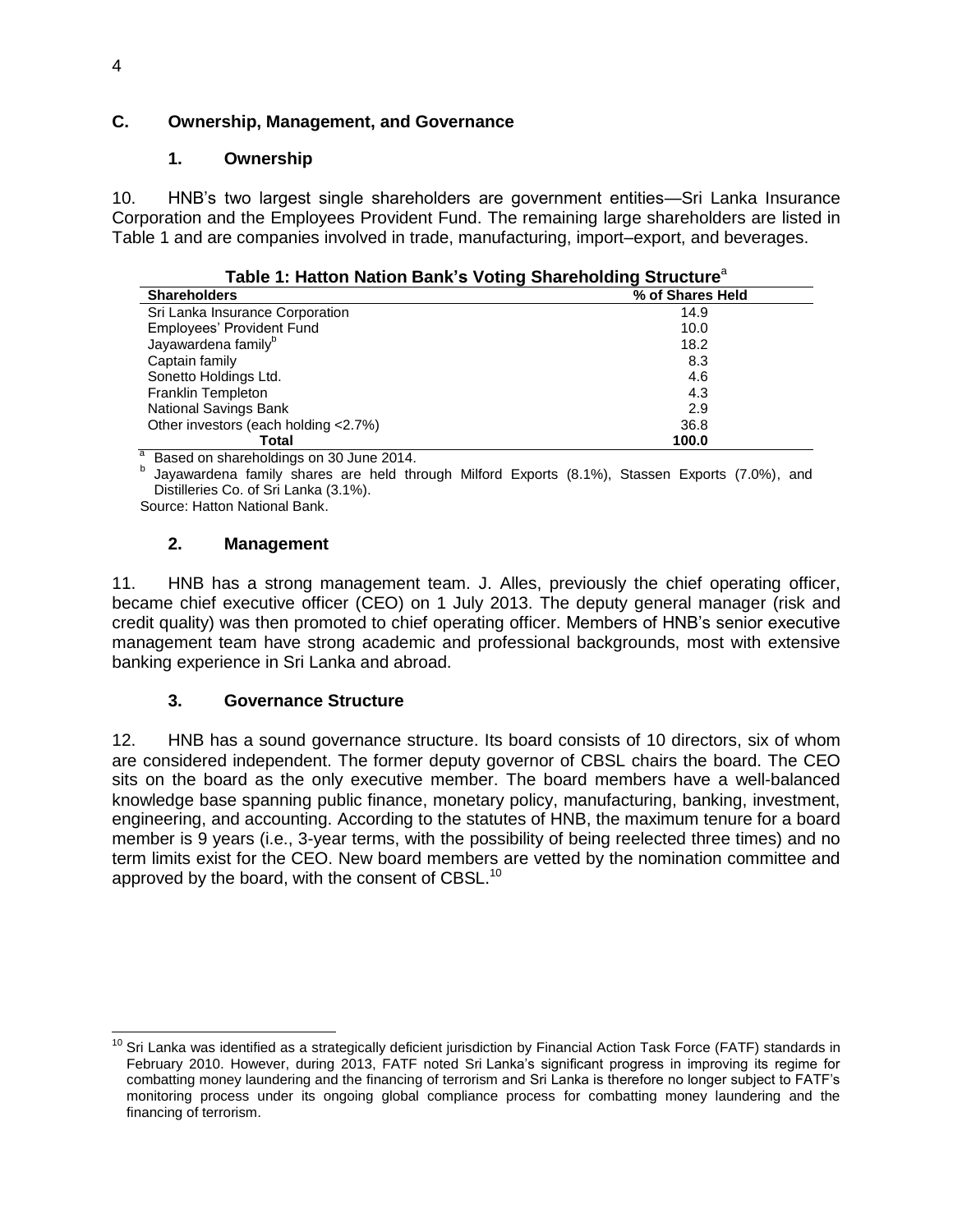### <span id="page-7-0"></span>**C. Ownership, Management, and Governance**

#### **1. Ownership**

10. HNB's two largest single shareholders are government entities—Sri Lanka Insurance Corporation and the Employees Provident Fund. The remaining large shareholders are listed in Table 1 and are companies involved in trade, manufacturing, import–export, and beverages.

| Table 1: Hatton Nation Bank's Voting Shareholding Structure $\widetilde{\ }$ |                  |  |  |
|------------------------------------------------------------------------------|------------------|--|--|
| <b>Shareholders</b>                                                          | % of Shares Held |  |  |
| Sri Lanka Insurance Corporation                                              | 14.9             |  |  |
| Employees' Provident Fund                                                    | 10.0             |  |  |
| Jayawardena family <sup>b</sup>                                              | 18.2             |  |  |
| Captain family                                                               | 8.3              |  |  |
| Sonetto Holdings Ltd.                                                        | 4.6              |  |  |
| Franklin Templeton                                                           | 4.3              |  |  |
| National Savings Bank                                                        | 2.9              |  |  |
| Other investors (each holding < 2.7%)                                        | 36.8             |  |  |
| Total                                                                        | 100.0            |  |  |
|                                                                              |                  |  |  |

| Table 1: Hatton Nation Bank's Voting Shareholding Structure <sup>a</sup> |  |  |  |  |  |  |  |
|--------------------------------------------------------------------------|--|--|--|--|--|--|--|
|--------------------------------------------------------------------------|--|--|--|--|--|--|--|

<sup>a</sup> Based on shareholdings on 30 June 2014.

<sup>b</sup> Jayawardena family shares are held through Milford Exports (8.1%), Stassen Exports (7.0%), and Distilleries Co. of Sri Lanka (3.1%). Source: Hatton National Bank.

#### **2. Management**

11. HNB has a strong management team. J. Alles, previously the chief operating officer, became chief executive officer (CEO) on 1 July 2013. The deputy general manager (risk and credit quality) was then promoted to chief operating officer. Members of HNB's senior executive management team have strong academic and professional backgrounds, most with extensive banking experience in Sri Lanka and abroad.

#### **3. Governance Structure**

12. HNB has a sound governance structure. Its board consists of 10 directors, six of whom are considered independent. The former deputy governor of CBSL chairs the board. The CEO sits on the board as the only executive member. The board members have a well-balanced knowledge base spanning public finance, monetary policy, manufacturing, banking, investment, engineering, and accounting. According to the statutes of HNB, the maximum tenure for a board member is 9 years (i.e., 3-year terms, with the possibility of being reelected three times) and no term limits exist for the CEO. New board members are vetted by the nomination committee and approved by the board, with the consent of CBSL.<sup>10</sup>

 $\overline{a}$ <sup>10</sup> Sri Lanka was identified as a strategically deficient jurisdiction by Financial Action Task Force (FATF) standards in February 2010. However, during 2013, FATF noted Sri Lanka's significant progress in improving its regime for combatting money laundering and the financing of terrorism and Sri Lanka is therefore no longer subject to FATF's monitoring process under its ongoing global compliance process for combatting money laundering and the financing of terrorism.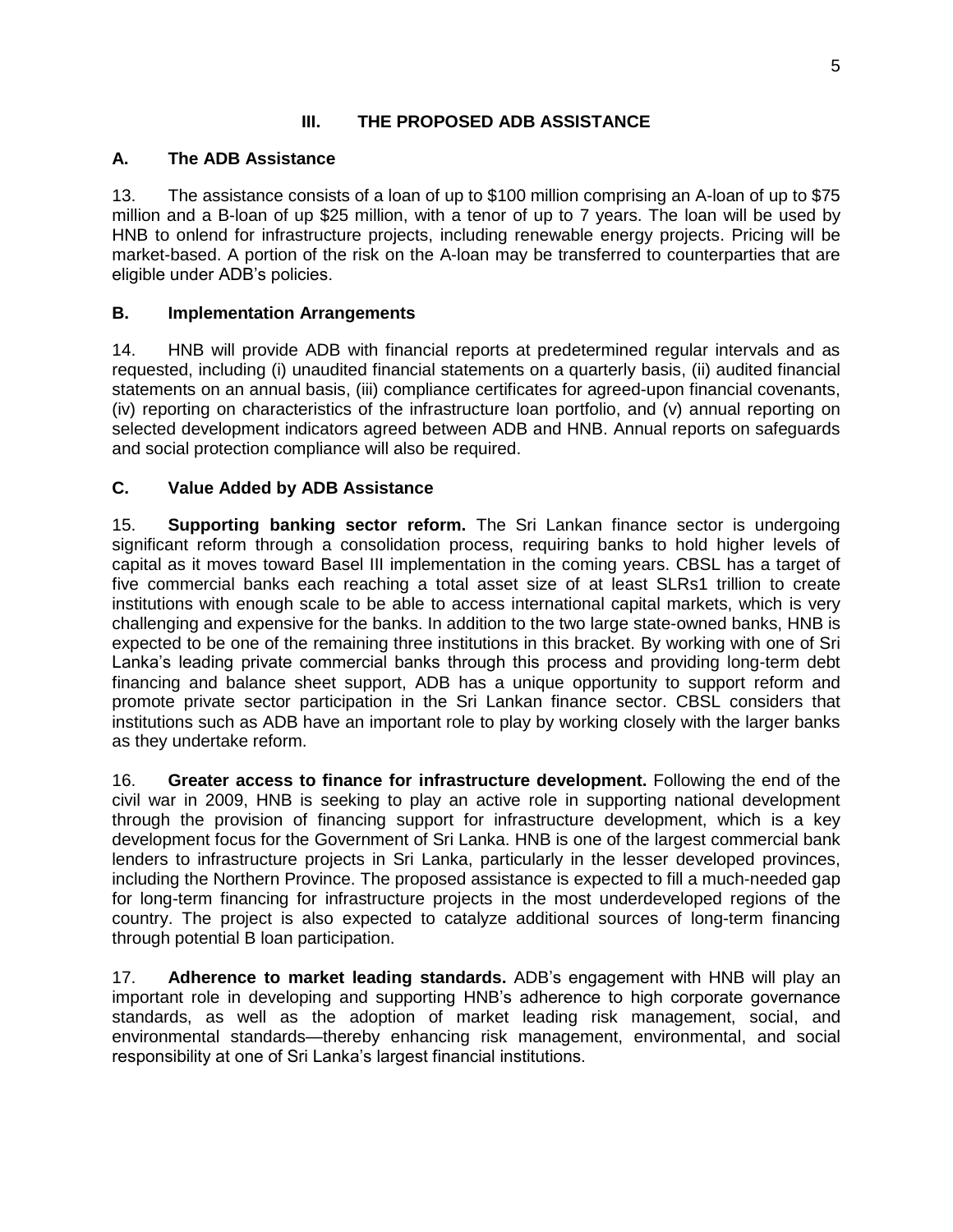### **III. THE PROPOSED ADB ASSISTANCE**

#### <span id="page-8-0"></span>**A. The ADB Assistance**

13. The assistance consists of a loan of up to \$100 million comprising an A-loan of up to \$75 million and a B-loan of up \$25 million, with a tenor of up to 7 years. The loan will be used by HNB to onlend for infrastructure projects, including renewable energy projects. Pricing will be market-based. A portion of the risk on the A-loan may be transferred to counterparties that are eligible under ADB's policies.

### **B. Implementation Arrangements**

14. HNB will provide ADB with financial reports at predetermined regular intervals and as requested, including (i) unaudited financial statements on a quarterly basis, (ii) audited financial statements on an annual basis, (iii) compliance certificates for agreed-upon financial covenants, (iv) reporting on characteristics of the infrastructure loan portfolio, and (v) annual reporting on selected development indicators agreed between ADB and HNB. Annual reports on safeguards and social protection compliance will also be required.

### **C. Value Added by ADB Assistance**

15. **Supporting banking sector reform.** The Sri Lankan finance sector is undergoing significant reform through a consolidation process, requiring banks to hold higher levels of capital as it moves toward Basel III implementation in the coming years. CBSL has a target of five commercial banks each reaching a total asset size of at least SLRs1 trillion to create institutions with enough scale to be able to access international capital markets, which is very challenging and expensive for the banks. In addition to the two large state-owned banks, HNB is expected to be one of the remaining three institutions in this bracket. By working with one of Sri Lanka's leading private commercial banks through this process and providing long-term debt financing and balance sheet support, ADB has a unique opportunity to support reform and promote private sector participation in the Sri Lankan finance sector. CBSL considers that institutions such as ADB have an important role to play by working closely with the larger banks as they undertake reform.

16. **Greater access to finance for infrastructure development.** Following the end of the civil war in 2009, HNB is seeking to play an active role in supporting national development through the provision of financing support for infrastructure development, which is a key development focus for the Government of Sri Lanka. HNB is one of the largest commercial bank lenders to infrastructure projects in Sri Lanka, particularly in the lesser developed provinces, including the Northern Province. The proposed assistance is expected to fill a much-needed gap for long-term financing for infrastructure projects in the most underdeveloped regions of the country. The project is also expected to catalyze additional sources of long-term financing through potential B loan participation.

17. **Adherence to market leading standards.** ADB's engagement with HNB will play an important role in developing and supporting HNB's adherence to high corporate governance standards, as well as the adoption of market leading risk management, social, and environmental standards—thereby enhancing risk management, environmental, and social responsibility at one of Sri Lanka's largest financial institutions.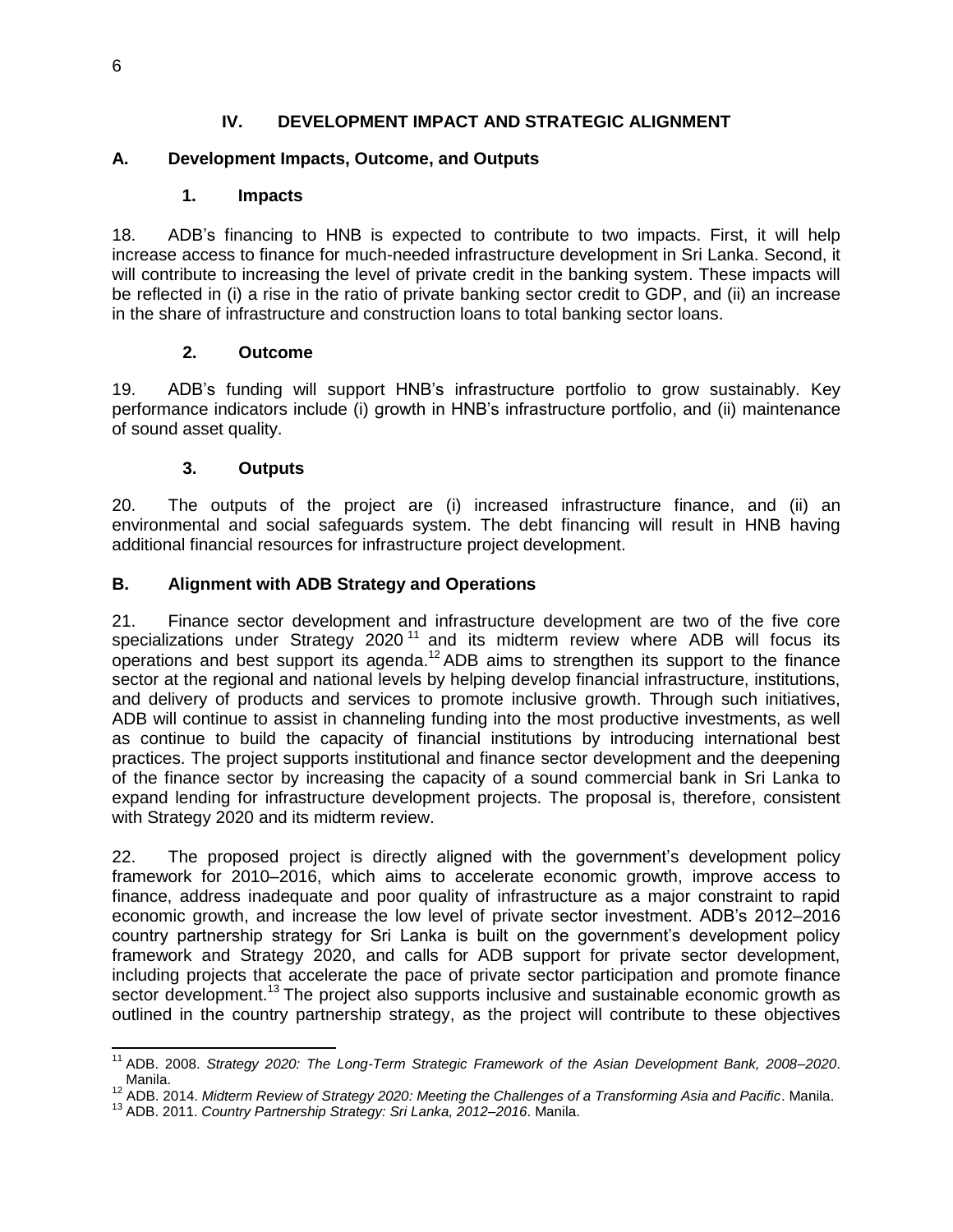### **IV. DEVELOPMENT IMPACT AND STRATEGIC ALIGNMENT**

#### <span id="page-9-1"></span><span id="page-9-0"></span>**A. Development Impacts, Outcome, and Outputs**

#### **1. Impacts**

18. ADB's financing to HNB is expected to contribute to two impacts. First, it will help increase access to finance for much-needed infrastructure development in Sri Lanka. Second, it will contribute to increasing the level of private credit in the banking system. These impacts will be reflected in (i) a rise in the ratio of private banking sector credit to GDP, and (ii) an increase in the share of infrastructure and construction loans to total banking sector loans.

#### **2. Outcome**

19. ADB's funding will support HNB's infrastructure portfolio to grow sustainably. Key performance indicators include (i) growth in HNB's infrastructure portfolio, and (ii) maintenance of sound asset quality.

#### **3. Outputs**

20. The outputs of the project are (i) increased infrastructure finance, and (ii) an environmental and social safeguards system. The debt financing will result in HNB having additional financial resources for infrastructure project development.

#### **B. Alignment with ADB Strategy and Operations**

21. Finance sector development and infrastructure development are two of the five core specializations under Strategy 2020<sup>11</sup> and its midterm review where ADB will focus its operations and best support its agenda.<sup>12</sup> ADB aims to strengthen its support to the finance sector at the regional and national levels by helping develop financial infrastructure, institutions, and delivery of products and services to promote inclusive growth. Through such initiatives, ADB will continue to assist in channeling funding into the most productive investments, as well as continue to build the capacity of financial institutions by introducing international best practices. The project supports institutional and finance sector development and the deepening of the finance sector by increasing the capacity of a sound commercial bank in Sri Lanka to expand lending for infrastructure development projects. The proposal is, therefore, consistent with Strategy 2020 and its midterm review.

22. The proposed project is directly aligned with the government's development policy framework for 2010–2016, which aims to accelerate economic growth, improve access to finance, address inadequate and poor quality of infrastructure as a major constraint to rapid economic growth, and increase the low level of private sector investment. ADB's 2012–2016 country partnership strategy for Sri Lanka is built on the government's development policy framework and Strategy 2020, and calls for ADB support for private sector development, including projects that accelerate the pace of private sector participation and promote finance sector development.<sup>13</sup> The project also supports inclusive and sustainable economic growth as outlined in the country partnership strategy, as the project will contribute to these objectives

 $\overline{a}$ 

<sup>11</sup> ADB. 2008. *Strategy 2020: The Long-Term Strategic Framework of the Asian Development Bank, 2008–2020*. Manila.

<sup>12</sup> ADB. 2014. *Midterm Review of Strategy 2020: Meeting the Challenges of a Transforming Asia and Pacific*. Manila.

<sup>13</sup> ADB. 2011. *Country Partnership Strategy: Sri Lanka, 2012–2016*. Manila.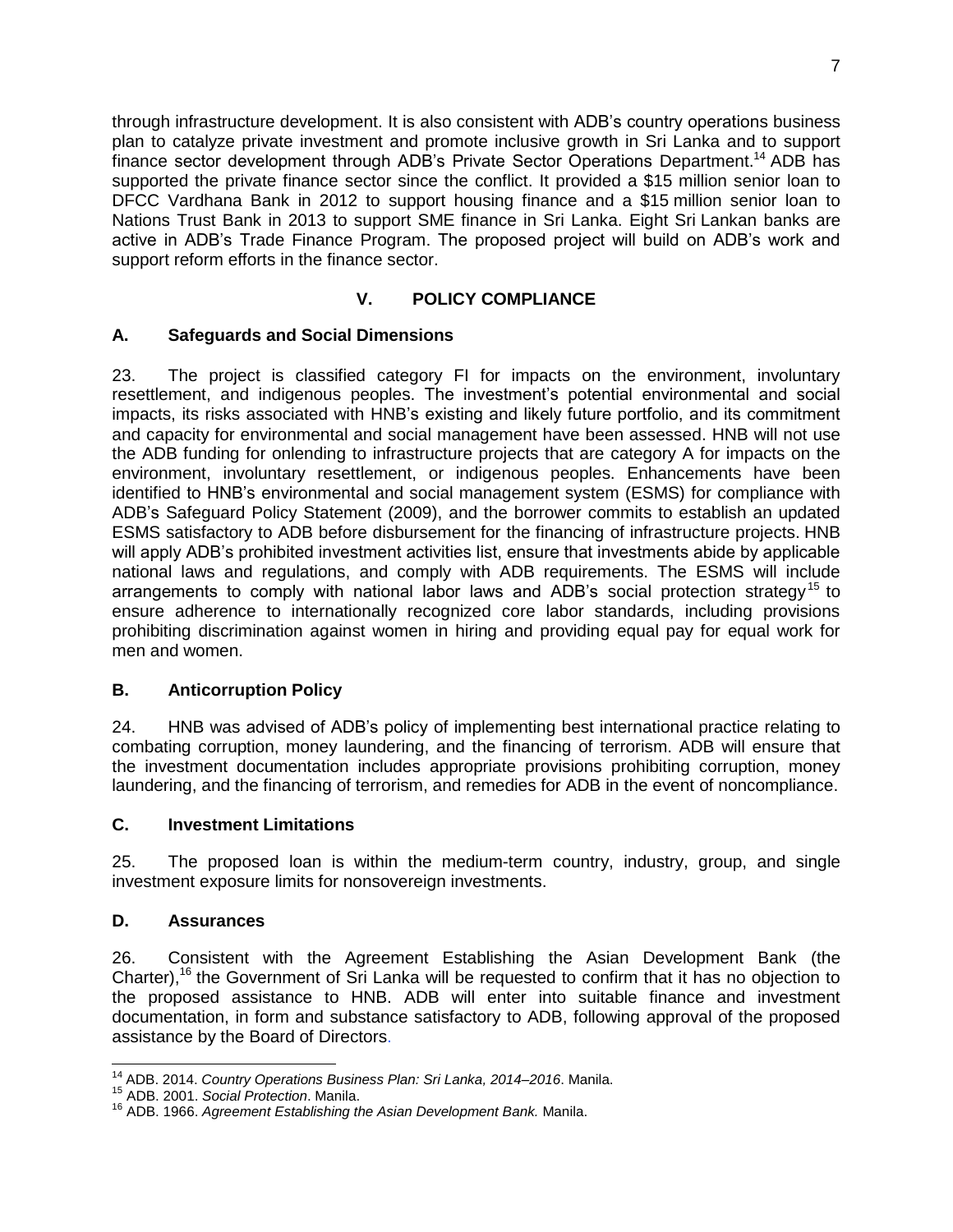through infrastructure development. It is also consistent with ADB's country operations business plan to catalyze private investment and promote inclusive growth in Sri Lanka and to support finance sector development through ADB's Private Sector Operations Department.<sup>14</sup> ADB has supported the private finance sector since the conflict. It provided a \$15 million senior loan to DFCC Vardhana Bank in 2012 to support housing finance and a \$15 million senior loan to Nations Trust Bank in 2013 to support SME finance in Sri Lanka. Eight Sri Lankan banks are active in ADB's Trade Finance Program. The proposed project will build on ADB's work and support reform efforts in the finance sector.

# **V. POLICY COMPLIANCE**

## **A. Safeguards and Social Dimensions**

23. The project is classified category FI for impacts on the environment, involuntary resettlement, and indigenous peoples. The investment's potential environmental and social impacts, its risks associated with HNB's existing and likely future portfolio, and its commitment and capacity for environmental and social management have been assessed. HNB will not use the ADB funding for onlending to infrastructure projects that are category A for impacts on the environment, involuntary resettlement, or indigenous peoples. Enhancements have been identified to HNB's environmental and social management system (ESMS) for compliance with ADB's Safeguard Policy Statement (2009), and the borrower commits to establish an updated ESMS satisfactory to ADB before disbursement for the financing of infrastructure projects. HNB will apply ADB's prohibited investment activities list, ensure that investments abide by applicable national laws and regulations, and comply with ADB requirements. The ESMS will include arrangements to comply with national labor laws and ADB's social protection strategy<sup>15</sup> to ensure adherence to internationally recognized core labor standards, including provisions prohibiting discrimination against women in hiring and providing equal pay for equal work for men and women.

## <span id="page-10-0"></span>**B. Anticorruption Policy**

24. HNB was advised of ADB's policy of implementing best international practice relating to combating corruption, money laundering, and the financing of terrorism. ADB will ensure that the investment documentation includes appropriate provisions prohibiting corruption, money laundering, and the financing of terrorism, and remedies for ADB in the event of noncompliance.

#### <span id="page-10-1"></span>**C. Investment Limitations**

25. The proposed loan is within the medium-term country, industry, group, and single investment exposure limits for nonsovereign investments.

#### **D. Assurances**

26. Consistent with the Agreement Establishing the Asian Development Bank (the Charter),<sup>16</sup> the Government of Sri Lanka will be requested to confirm that it has no objection to the proposed assistance to HNB. ADB will enter into suitable finance and investment documentation, in form and substance satisfactory to ADB, following approval of the proposed assistance by the Board of Directors.

j <sup>14</sup> ADB. 2014. *Country Operations Business Plan: Sri Lanka, 2014–2016*. Manila.

<sup>15</sup> ADB. 2001. *Social Protection*. Manila.

<sup>16</sup> ADB. 1966. *Agreement Establishing the Asian Development Bank.* Manila.